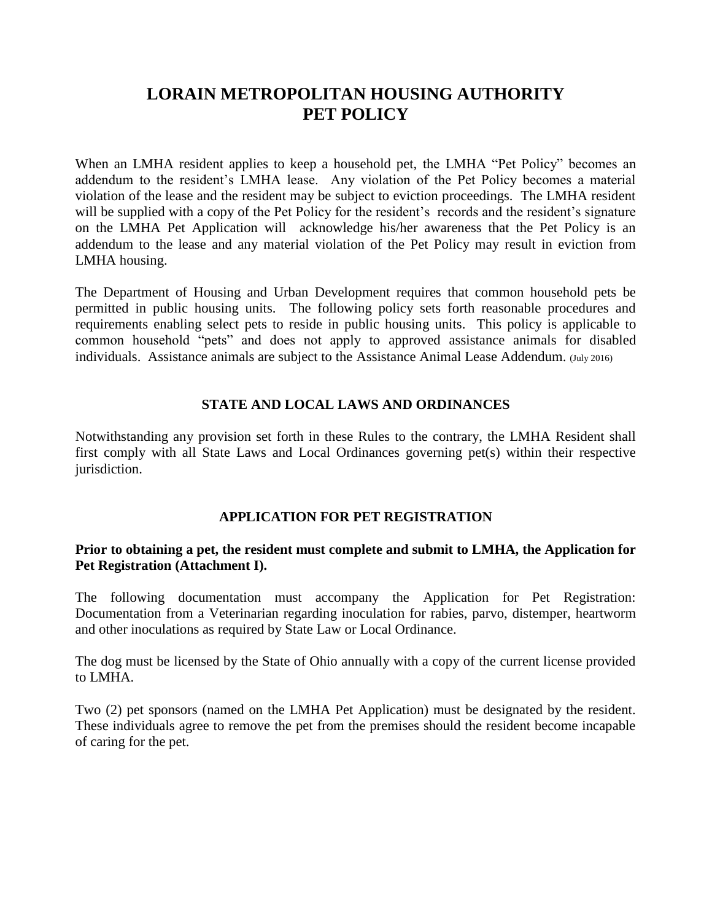# **LORAIN METROPOLITAN HOUSING AUTHORITY PET POLICY**

When an LMHA resident applies to keep a household pet, the LMHA "Pet Policy" becomes an addendum to the resident's LMHA lease. Any violation of the Pet Policy becomes a material violation of the lease and the resident may be subject to eviction proceedings. The LMHA resident will be supplied with a copy of the Pet Policy for the resident's records and the resident's signature on the LMHA Pet Application will acknowledge his/her awareness that the Pet Policy is an addendum to the lease and any material violation of the Pet Policy may result in eviction from LMHA housing.

The Department of Housing and Urban Development requires that common household pets be permitted in public housing units. The following policy sets forth reasonable procedures and requirements enabling select pets to reside in public housing units. This policy is applicable to common household "pets" and does not apply to approved assistance animals for disabled individuals. Assistance animals are subject to the Assistance Animal Lease Addendum. (July 2016)

## **STATE AND LOCAL LAWS AND ORDINANCES**

Notwithstanding any provision set forth in these Rules to the contrary, the LMHA Resident shall first comply with all State Laws and Local Ordinances governing pet(s) within their respective jurisdiction.

## **APPLICATION FOR PET REGISTRATION**

## **Prior to obtaining a pet, the resident must complete and submit to LMHA, the Application for Pet Registration (Attachment I).**

The following documentation must accompany the Application for Pet Registration: Documentation from a Veterinarian regarding inoculation for rabies, parvo, distemper, heartworm and other inoculations as required by State Law or Local Ordinance.

The dog must be licensed by the State of Ohio annually with a copy of the current license provided to LMHA.

Two (2) pet sponsors (named on the LMHA Pet Application) must be designated by the resident. These individuals agree to remove the pet from the premises should the resident become incapable of caring for the pet.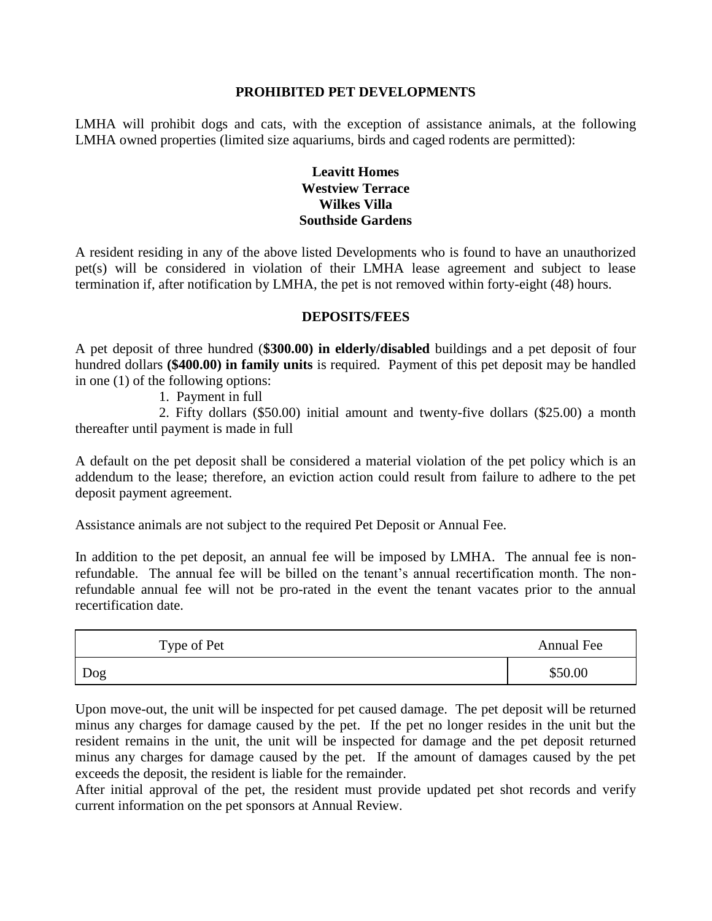## **PROHIBITED PET DEVELOPMENTS**

LMHA will prohibit dogs and cats, with the exception of assistance animals, at the following LMHA owned properties (limited size aquariums, birds and caged rodents are permitted):

## **Leavitt Homes Westview Terrace Wilkes Villa Southside Gardens**

A resident residing in any of the above listed Developments who is found to have an unauthorized pet(s) will be considered in violation of their LMHA lease agreement and subject to lease termination if, after notification by LMHA, the pet is not removed within forty-eight (48) hours.

## **DEPOSITS/FEES**

A pet deposit of three hundred (**\$300.00) in elderly/disabled** buildings and a pet deposit of four hundred dollars **(\$400.00) in family units** is required. Payment of this pet deposit may be handled in one (1) of the following options:

1. Payment in full

2. Fifty dollars (\$50.00) initial amount and twenty-five dollars (\$25.00) a month thereafter until payment is made in full

A default on the pet deposit shall be considered a material violation of the pet policy which is an addendum to the lease; therefore, an eviction action could result from failure to adhere to the pet deposit payment agreement.

Assistance animals are not subject to the required Pet Deposit or Annual Fee.

In addition to the pet deposit, an annual fee will be imposed by LMHA. The annual fee is nonrefundable. The annual fee will be billed on the tenant's annual recertification month. The nonrefundable annual fee will not be pro-rated in the event the tenant vacates prior to the annual recertification date.

| Type of Pet | Annual Fee |
|-------------|------------|
| Dog         | \$50.00    |

Upon move-out, the unit will be inspected for pet caused damage. The pet deposit will be returned minus any charges for damage caused by the pet. If the pet no longer resides in the unit but the resident remains in the unit, the unit will be inspected for damage and the pet deposit returned minus any charges for damage caused by the pet. If the amount of damages caused by the pet exceeds the deposit, the resident is liable for the remainder.

After initial approval of the pet, the resident must provide updated pet shot records and verify current information on the pet sponsors at Annual Review.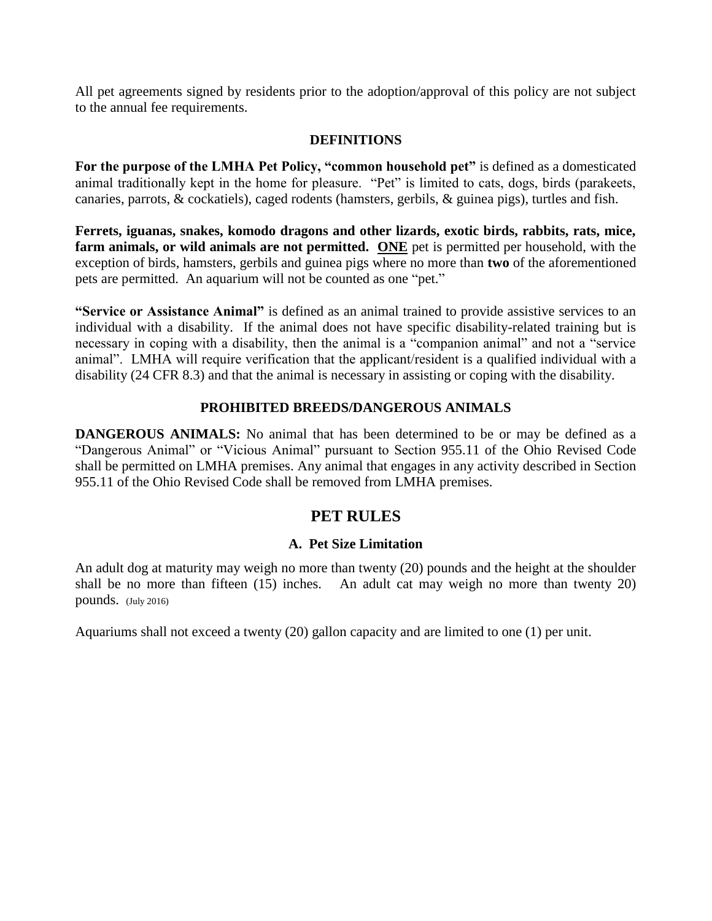All pet agreements signed by residents prior to the adoption/approval of this policy are not subject to the annual fee requirements.

## **DEFINITIONS**

**For the purpose of the LMHA Pet Policy, "common household pet"** is defined as a domesticated animal traditionally kept in the home for pleasure. "Pet" is limited to cats, dogs, birds (parakeets, canaries, parrots, & cockatiels), caged rodents (hamsters, gerbils, & guinea pigs), turtles and fish.

**Ferrets, iguanas, snakes, komodo dragons and other lizards, exotic birds, rabbits, rats, mice, farm animals, or wild animals are not permitted. ONE** pet is permitted per household, with the exception of birds, hamsters, gerbils and guinea pigs where no more than **two** of the aforementioned pets are permitted. An aquarium will not be counted as one "pet."

**"Service or Assistance Animal"** is defined as an animal trained to provide assistive services to an individual with a disability. If the animal does not have specific disability-related training but is necessary in coping with a disability, then the animal is a "companion animal" and not a "service animal". LMHA will require verification that the applicant/resident is a qualified individual with a disability (24 CFR 8.3) and that the animal is necessary in assisting or coping with the disability.

## **PROHIBITED BREEDS/DANGEROUS ANIMALS**

**DANGEROUS ANIMALS:** No animal that has been determined to be or may be defined as a "Dangerous Animal" or "Vicious Animal" pursuant to Section 955.11 of the Ohio Revised Code shall be permitted on LMHA premises. Any animal that engages in any activity described in Section 955.11 of the Ohio Revised Code shall be removed from LMHA premises.

# **PET RULES**

## **A. Pet Size Limitation**

An adult dog at maturity may weigh no more than twenty (20) pounds and the height at the shoulder shall be no more than fifteen (15) inches. An adult cat may weigh no more than twenty 20) pounds. (July 2016)

Aquariums shall not exceed a twenty (20) gallon capacity and are limited to one (1) per unit.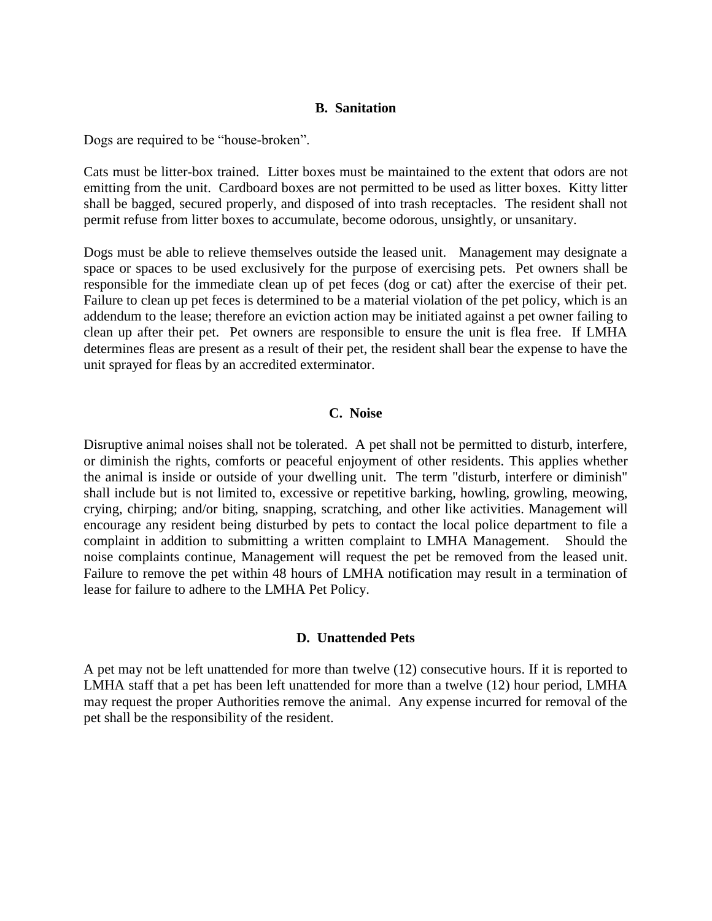#### **B. Sanitation**

Dogs are required to be "house-broken".

Cats must be litter-box trained. Litter boxes must be maintained to the extent that odors are not emitting from the unit. Cardboard boxes are not permitted to be used as litter boxes. Kitty litter shall be bagged, secured properly, and disposed of into trash receptacles. The resident shall not permit refuse from litter boxes to accumulate, become odorous, unsightly, or unsanitary.

Dogs must be able to relieve themselves outside the leased unit. Management may designate a space or spaces to be used exclusively for the purpose of exercising pets. Pet owners shall be responsible for the immediate clean up of pet feces (dog or cat) after the exercise of their pet. Failure to clean up pet feces is determined to be a material violation of the pet policy, which is an addendum to the lease; therefore an eviction action may be initiated against a pet owner failing to clean up after their pet. Pet owners are responsible to ensure the unit is flea free. If LMHA determines fleas are present as a result of their pet, the resident shall bear the expense to have the unit sprayed for fleas by an accredited exterminator.

#### **C. Noise**

Disruptive animal noises shall not be tolerated. A pet shall not be permitted to disturb, interfere, or diminish the rights, comforts or peaceful enjoyment of other residents. This applies whether the animal is inside or outside of your dwelling unit. The term "disturb, interfere or diminish" shall include but is not limited to, excessive or repetitive barking, howling, growling, meowing, crying, chirping; and/or biting, snapping, scratching, and other like activities. Management will encourage any resident being disturbed by pets to contact the local police department to file a complaint in addition to submitting a written complaint to LMHA Management. Should the noise complaints continue, Management will request the pet be removed from the leased unit. Failure to remove the pet within 48 hours of LMHA notification may result in a termination of lease for failure to adhere to the LMHA Pet Policy.

#### **D. Unattended Pets**

A pet may not be left unattended for more than twelve (12) consecutive hours. If it is reported to LMHA staff that a pet has been left unattended for more than a twelve (12) hour period, LMHA may request the proper Authorities remove the animal. Any expense incurred for removal of the pet shall be the responsibility of the resident.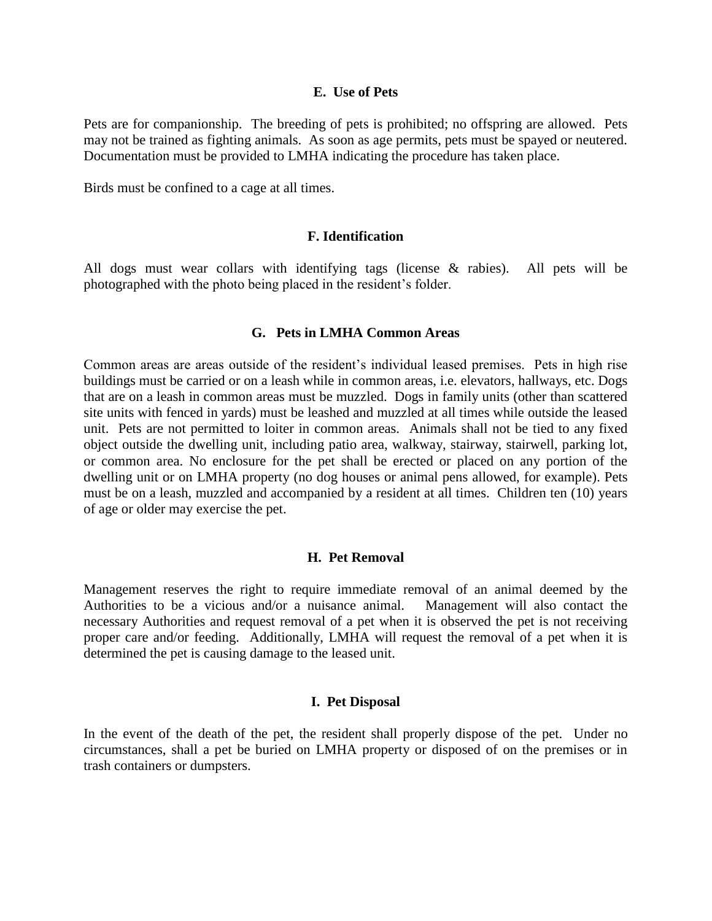#### **E. Use of Pets**

Pets are for companionship. The breeding of pets is prohibited; no offspring are allowed. Pets may not be trained as fighting animals. As soon as age permits, pets must be spayed or neutered. Documentation must be provided to LMHA indicating the procedure has taken place.

Birds must be confined to a cage at all times.

#### **F. Identification**

All dogs must wear collars with identifying tags (license & rabies). All pets will be photographed with the photo being placed in the resident's folder.

### **G. Pets in LMHA Common Areas**

Common areas are areas outside of the resident's individual leased premises. Pets in high rise buildings must be carried or on a leash while in common areas, i.e. elevators, hallways, etc. Dogs that are on a leash in common areas must be muzzled. Dogs in family units (other than scattered site units with fenced in yards) must be leashed and muzzled at all times while outside the leased unit. Pets are not permitted to loiter in common areas. Animals shall not be tied to any fixed object outside the dwelling unit, including patio area, walkway, stairway, stairwell, parking lot, or common area. No enclosure for the pet shall be erected or placed on any portion of the dwelling unit or on LMHA property (no dog houses or animal pens allowed, for example). Pets must be on a leash, muzzled and accompanied by a resident at all times. Children ten (10) years of age or older may exercise the pet.

#### **H. Pet Removal**

Management reserves the right to require immediate removal of an animal deemed by the Authorities to be a vicious and/or a nuisance animal. Management will also contact the necessary Authorities and request removal of a pet when it is observed the pet is not receiving proper care and/or feeding. Additionally, LMHA will request the removal of a pet when it is determined the pet is causing damage to the leased unit.

#### **I. Pet Disposal**

In the event of the death of the pet, the resident shall properly dispose of the pet. Under no circumstances, shall a pet be buried on LMHA property or disposed of on the premises or in trash containers or dumpsters.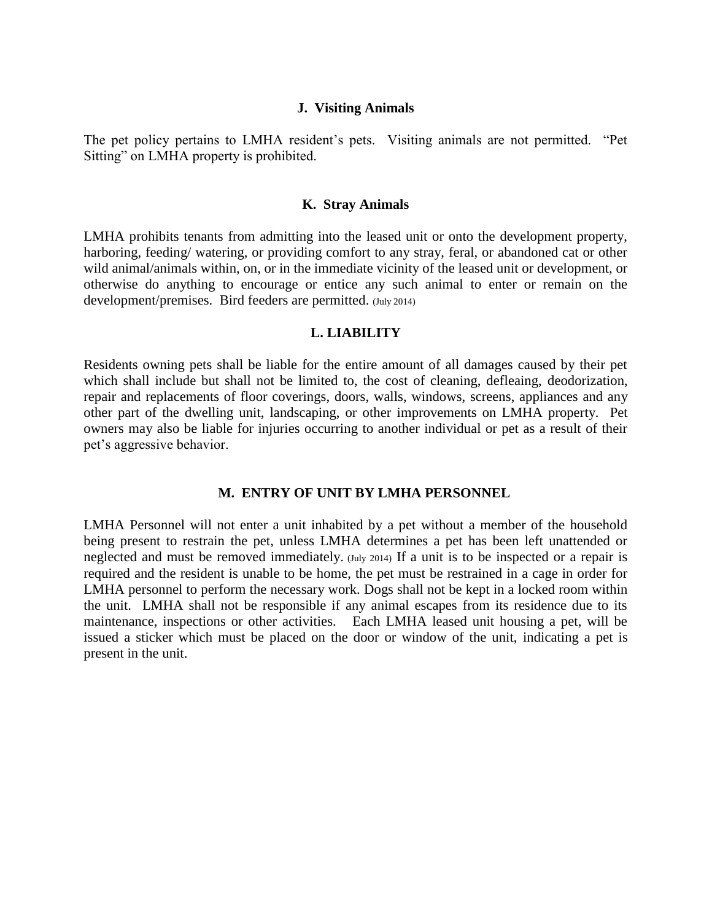#### **J. Visiting Animals**

The pet policy pertains to LMHA resident's pets. Visiting animals are not permitted. "Pet Sitting" on LMHA property is prohibited.

#### **K. Stray Animals**

LMHA prohibits tenants from admitting into the leased unit or onto the development property, harboring, feeding/ watering, or providing comfort to any stray, feral, or abandoned cat or other wild animal/animals within, on, or in the immediate vicinity of the leased unit or development, or otherwise do anything to encourage or entice any such animal to enter or remain on the development/premises. Bird feeders are permitted. (July 2014)

#### **L. LIABILITY**

Residents owning pets shall be liable for the entire amount of all damages caused by their pet which shall include but shall not be limited to, the cost of cleaning, defleaing, deodorization, repair and replacements of floor coverings, doors, walls, windows, screens, appliances and any other part of the dwelling unit, landscaping, or other improvements on LMHA property. Pet owners may also be liable for injuries occurring to another individual or pet as a result of their pet's aggressive behavior.

#### **M. ENTRY OF UNIT BY LMHA PERSONNEL**

LMHA Personnel will not enter a unit inhabited by a pet without a member of the household being present to restrain the pet, unless LMHA determines a pet has been left unattended or neglected and must be removed immediately. (July 2014) If a unit is to be inspected or a repair is required and the resident is unable to be home, the pet must be restrained in a cage in order for LMHA personnel to perform the necessary work. Dogs shall not be kept in a locked room within the unit. LMHA shall not be responsible if any animal escapes from its residence due to its maintenance, inspections or other activities. Each LMHA leased unit housing a pet, will be issued a sticker which must be placed on the door or window of the unit, indicating a pet is present in the unit.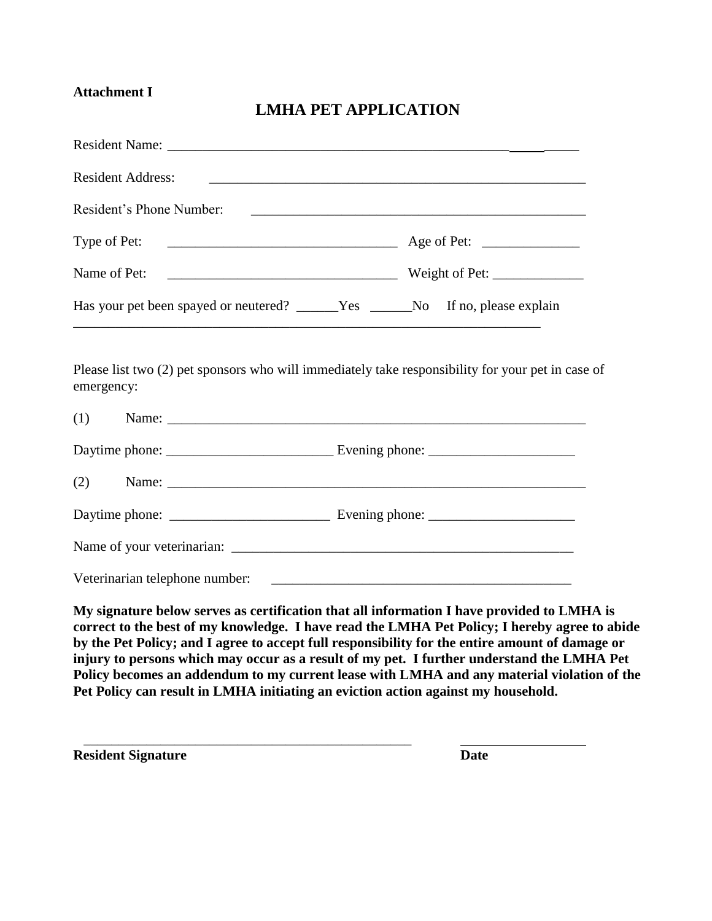# **Attachment I**

# **LMHA PET APPLICATION**

| Resident Name:                                                                                                                                                                                                                                                                                                                                                                                                                                                                             |  |
|--------------------------------------------------------------------------------------------------------------------------------------------------------------------------------------------------------------------------------------------------------------------------------------------------------------------------------------------------------------------------------------------------------------------------------------------------------------------------------------------|--|
| <b>Resident Address:</b><br><u> 1989 - Johann Stoff, amerikansk politiker (d. 1989)</u>                                                                                                                                                                                                                                                                                                                                                                                                    |  |
| Resident's Phone Number:                                                                                                                                                                                                                                                                                                                                                                                                                                                                   |  |
| Type of Pet:                                                                                                                                                                                                                                                                                                                                                                                                                                                                               |  |
| Name of Pet:                                                                                                                                                                                                                                                                                                                                                                                                                                                                               |  |
| Has your pet been spayed or neutered? ______Yes ______No If no, please explain                                                                                                                                                                                                                                                                                                                                                                                                             |  |
| Please list two (2) pet sponsors who will immediately take responsibility for your pet in case of<br>emergency:                                                                                                                                                                                                                                                                                                                                                                            |  |
| (1)                                                                                                                                                                                                                                                                                                                                                                                                                                                                                        |  |
|                                                                                                                                                                                                                                                                                                                                                                                                                                                                                            |  |
| (2)<br>Name:                                                                                                                                                                                                                                                                                                                                                                                                                                                                               |  |
|                                                                                                                                                                                                                                                                                                                                                                                                                                                                                            |  |
|                                                                                                                                                                                                                                                                                                                                                                                                                                                                                            |  |
|                                                                                                                                                                                                                                                                                                                                                                                                                                                                                            |  |
| My signature below serves as certification that all information I have provided to LMHA is<br>correct to the best of my knowledge. I have read the LMHA Pet Policy; I hereby agree to abide<br>by the Pet Policy; and I agree to accept full responsibility for the entire amount of damage or<br>injury to persons which may occur as a result of my pet. I further understand the LMHA Pet<br>Policy becomes an addendum to my current lease with LMHA and any material violation of the |  |

**Pet Policy can result in LMHA initiating an eviction action against my household.** 

\_\_\_\_\_\_\_\_\_\_\_\_\_\_\_\_\_\_\_\_\_\_\_\_\_\_\_\_\_\_\_\_\_\_\_\_\_\_\_\_\_\_\_\_\_\_\_

**Resident Signature Date**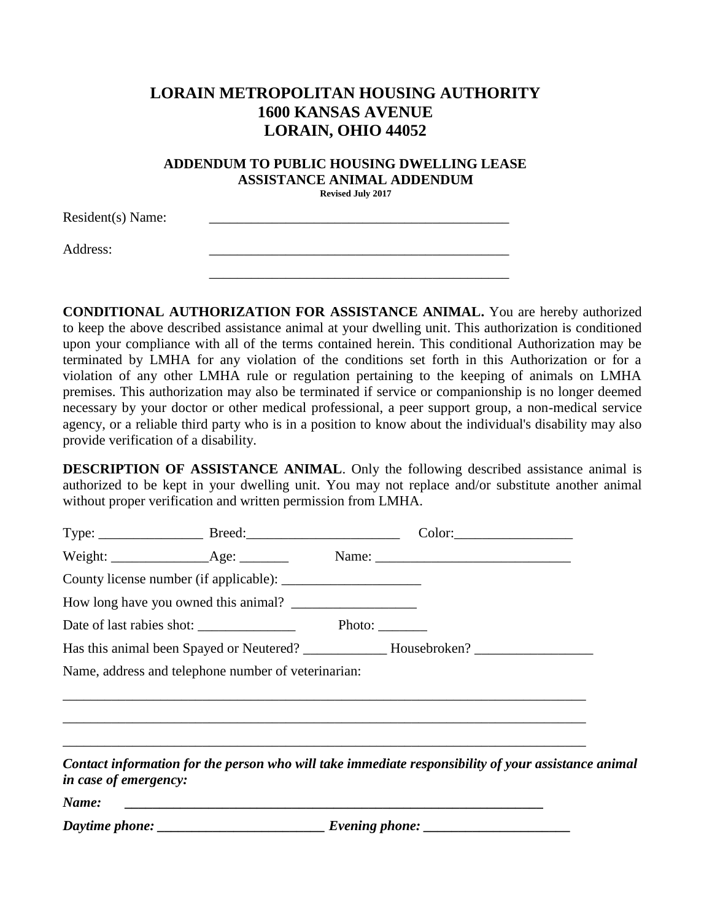# **LORAIN METROPOLITAN HOUSING AUTHORITY 1600 KANSAS AVENUE LORAIN, OHIO 44052**

#### **ADDENDUM TO PUBLIC HOUSING DWELLING LEASE ASSISTANCE ANIMAL ADDENDUM Revised July 2017**

 $Resident(s)$  Name: Address: \_\_\_\_\_\_\_\_\_\_\_\_\_\_\_\_\_\_\_\_\_\_\_\_\_\_\_\_\_\_\_\_\_\_\_\_\_\_\_\_\_\_\_ \_\_\_\_\_\_\_\_\_\_\_\_\_\_\_\_\_\_\_\_\_\_\_\_\_\_\_\_\_\_\_\_\_\_\_\_\_\_\_\_\_\_\_

**CONDITIONAL AUTHORIZATION FOR ASSISTANCE ANIMAL.** You are hereby authorized to keep the above described assistance animal at your dwelling unit. This authorization is conditioned upon your compliance with all of the terms contained herein. This conditional Authorization may be terminated by LMHA for any violation of the conditions set forth in this Authorization or for a violation of any other LMHA rule or regulation pertaining to the keeping of animals on LMHA premises. This authorization may also be terminated if service or companionship is no longer deemed necessary by your doctor or other medical professional, a peer support group, a non-medical service agency, or a reliable third party who is in a position to know about the individual's disability may also provide verification of a disability.

**DESCRIPTION OF ASSISTANCE ANIMAL**. Only the following described assistance animal is authorized to be kept in your dwelling unit. You may not replace and/or substitute another animal without proper verification and written permission from LMHA.

| How long have you owned this animal?                                                                                         |  |  |                                                                                                                       |  |
|------------------------------------------------------------------------------------------------------------------------------|--|--|-----------------------------------------------------------------------------------------------------------------------|--|
|                                                                                                                              |  |  |                                                                                                                       |  |
|                                                                                                                              |  |  |                                                                                                                       |  |
| Name, address and telephone number of veterinarian:                                                                          |  |  |                                                                                                                       |  |
|                                                                                                                              |  |  |                                                                                                                       |  |
| ,我们也不能在这里的时候,我们也不能在这里的时候,我们也不能会在这里的时候,我们也不能会在这里的时候,我们也不能会在这里的时候,我们也不能会在这里的时候,我们也不                                            |  |  |                                                                                                                       |  |
|                                                                                                                              |  |  |                                                                                                                       |  |
| Contact information for the person who will take immediate responsibility of your assistance animal<br>in case of emergency: |  |  |                                                                                                                       |  |
| Name:                                                                                                                        |  |  | <u> 1989 - Johann Barn, mars and deur der Stadt andere de Stadt andere de Stadt andere de Stadt andere de Stadt a</u> |  |
|                                                                                                                              |  |  |                                                                                                                       |  |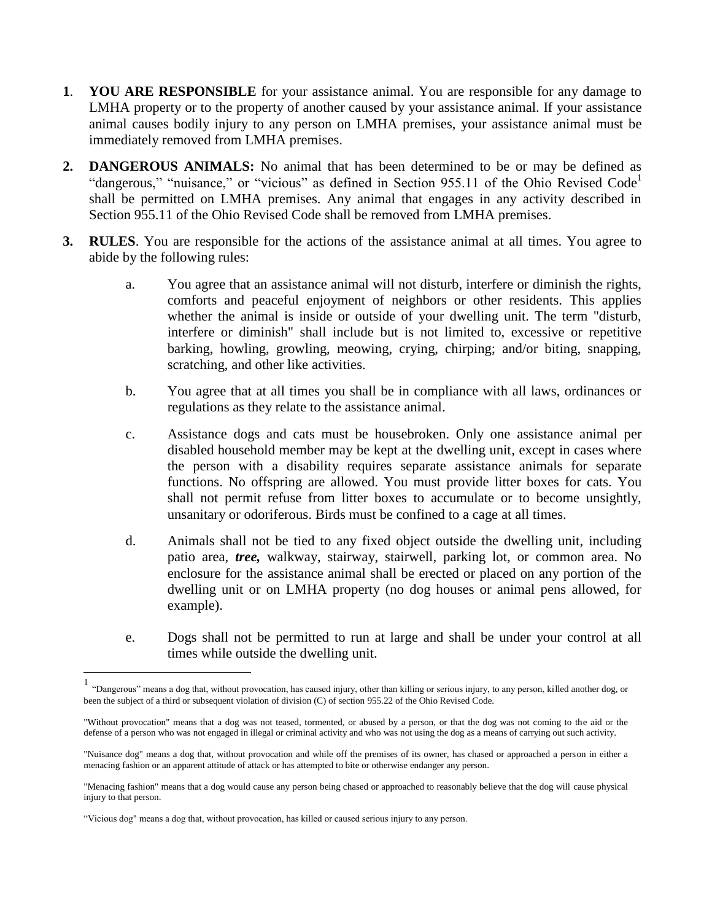- **1**. **YOU ARE RESPONSIBLE** for your assistance animal. You are responsible for any damage to LMHA property or to the property of another caused by your assistance animal. If your assistance animal causes bodily injury to any person on LMHA premises, your assistance animal must be immediately removed from LMHA premises.
- **2. DANGEROUS ANIMALS:** No animal that has been determined to be or may be defined as "dangerous," "nuisance," or "vicious" as defined in Section 955.11 of the Ohio Revised Code<sup>1</sup> shall be permitted on LMHA premises. Any animal that engages in any activity described in Section 955.11 of the Ohio Revised Code shall be removed from LMHA premises.
- **3. RULES**. You are responsible for the actions of the assistance animal at all times. You agree to abide by the following rules:
	- a. You agree that an assistance animal will not disturb, interfere or diminish the rights, comforts and peaceful enjoyment of neighbors or other residents. This applies whether the animal is inside or outside of your dwelling unit. The term "disturb, interfere or diminish" shall include but is not limited to, excessive or repetitive barking, howling, growling, meowing, crying, chirping; and/or biting, snapping, scratching, and other like activities.
	- b. You agree that at all times you shall be in compliance with all laws, ordinances or regulations as they relate to the assistance animal.
	- c. Assistance dogs and cats must be housebroken. Only one assistance animal per disabled household member may be kept at the dwelling unit, except in cases where the person with a disability requires separate assistance animals for separate functions. No offspring are allowed. You must provide litter boxes for cats. You shall not permit refuse from litter boxes to accumulate or to become unsightly, unsanitary or odoriferous. Birds must be confined to a cage at all times.
	- d. Animals shall not be tied to any fixed object outside the dwelling unit, including patio area, *tree,* walkway, stairway, stairwell, parking lot, or common area. No enclosure for the assistance animal shall be erected or placed on any portion of the dwelling unit or on LMHA property (no dog houses or animal pens allowed, for example).
	- e. Dogs shall not be permitted to run at large and shall be under your control at all times while outside the dwelling unit.

 $\overline{a}$ 

<sup>&</sup>lt;sup>1</sup> "Dangerous" means a dog that, without provocation, has caused injury, other than killing or serious injury, to any person, killed another dog, or been the subject of a third or subsequent violation of division (C) of section [955.22](http://codes.ohio.gov/orc/955.22) of the Ohio Revised Code.

<sup>&</sup>quot;Without provocation" means that a dog was not teased, tormented, or abused by a person, or that the dog was not coming to the aid or the defense of a person who was not engaged in illegal or criminal activity and who was not using the dog as a means of carrying out such activity.

<sup>&</sup>quot;Nuisance dog" means a dog that, without provocation and while off the premises of its owner, has chased or approached a person in either a menacing fashion or an apparent attitude of attack or has attempted to bite or otherwise endanger any person.

<sup>&</sup>quot;Menacing fashion" means that a dog would cause any person being chased or approached to reasonably believe that the dog will cause physical injury to that person.

<sup>&</sup>quot;Vicious dog" means a dog that, without provocation, has killed or caused serious injury to any person.